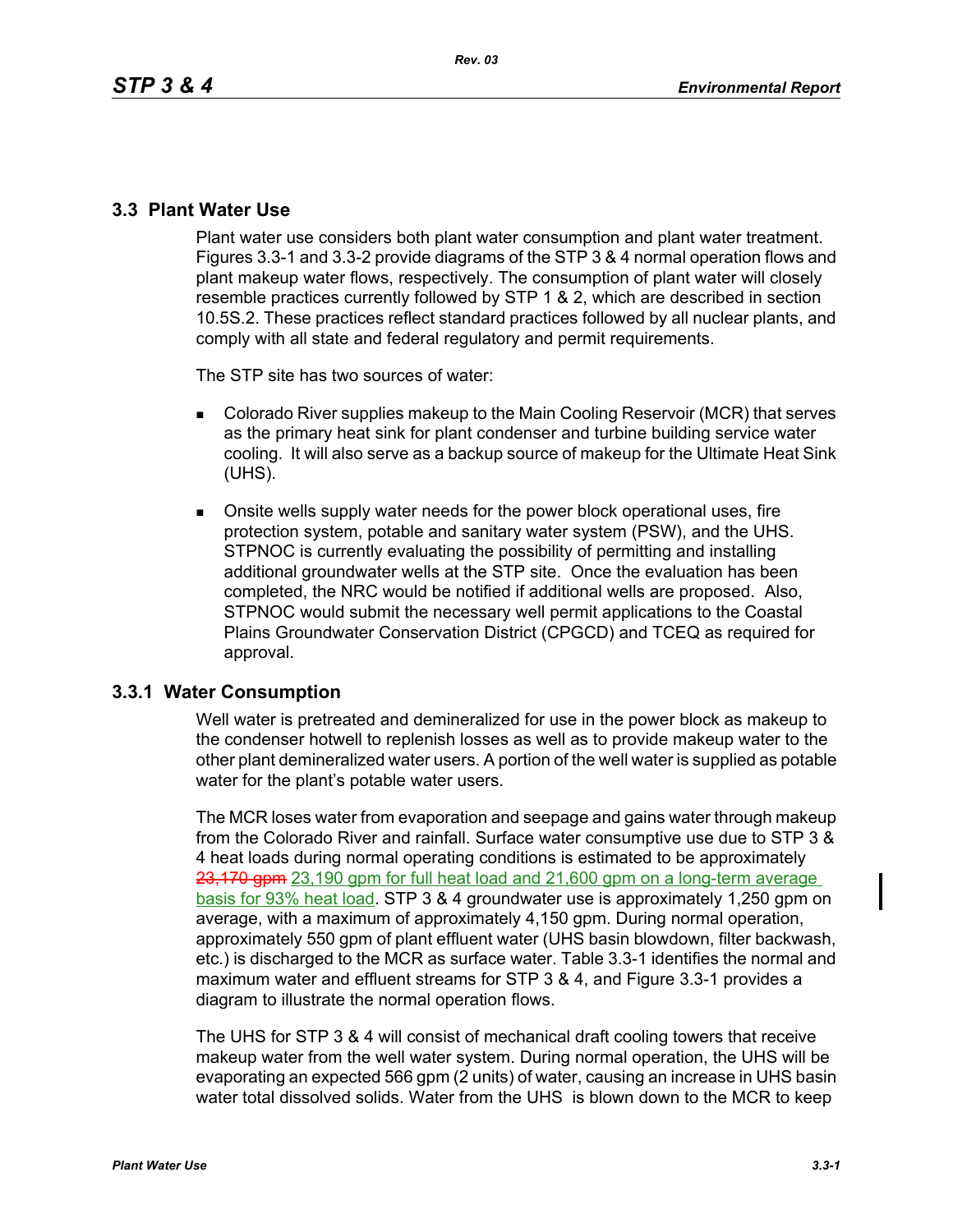### **3.3 Plant Water Use**

Plant water use considers both plant water consumption and plant water treatment. Figures 3.3-1 and 3.3-2 provide diagrams of the STP 3 & 4 normal operation flows and plant makeup water flows, respectively. The consumption of plant water will closely resemble practices currently followed by STP 1 & 2, which are described in section 10.5S.2. These practices reflect standard practices followed by all nuclear plants, and comply with all state and federal regulatory and permit requirements.

The STP site has two sources of water:

- Colorado River supplies makeup to the Main Cooling Reservoir (MCR) that serves as the primary heat sink for plant condenser and turbine building service water cooling. It will also serve as a backup source of makeup for the Ultimate Heat Sink (UHS).
- **Diam** Onsite wells supply water needs for the power block operational uses, fire protection system, potable and sanitary water system (PSW), and the UHS. STPNOC is currently evaluating the possibility of permitting and installing additional groundwater wells at the STP site. Once the evaluation has been completed, the NRC would be notified if additional wells are proposed. Also, STPNOC would submit the necessary well permit applications to the Coastal Plains Groundwater Conservation District (CPGCD) and TCEQ as required for approval.

## **3.3.1 Water Consumption**

Well water is pretreated and demineralized for use in the power block as makeup to the condenser hotwell to replenish losses as well as to provide makeup water to the other plant demineralized water users. A portion of the well water is supplied as potable water for the plant's potable water users.

The MCR loses water from evaporation and seepage and gains water through makeup from the Colorado River and rainfall. Surface water consumptive use due to STP 3 & 4 heat loads during normal operating conditions is estimated to be approximately 23,170 gpm 23,190 gpm for full heat load and 21,600 gpm on a long-term average basis for 93% heat load. STP 3 & 4 groundwater use is approximately 1,250 gpm on average, with a maximum of approximately 4,150 gpm. During normal operation, approximately 550 gpm of plant effluent water (UHS basin blowdown, filter backwash, etc.) is discharged to the MCR as surface water. Table 3.3-1 identifies the normal and maximum water and effluent streams for STP 3 & 4, and Figure 3.3-1 provides a diagram to illustrate the normal operation flows.

The UHS for STP 3 & 4 will consist of mechanical draft cooling towers that receive makeup water from the well water system. During normal operation, the UHS will be evaporating an expected 566 gpm (2 units) of water, causing an increase in UHS basin water total dissolved solids. Water from the UHS is blown down to the MCR to keep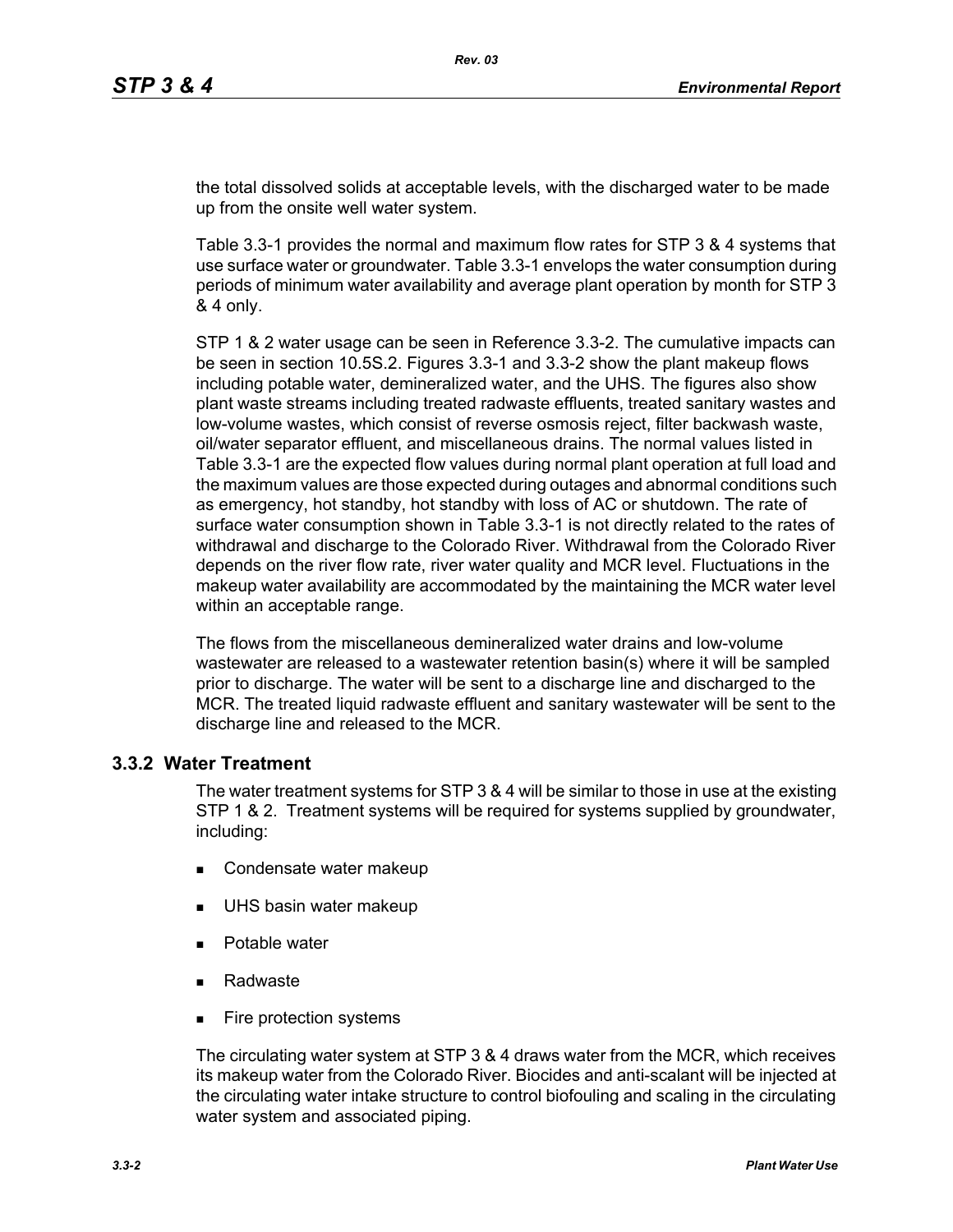the total dissolved solids at acceptable levels, with the discharged water to be made up from the onsite well water system.

Table 3.3-1 provides the normal and maximum flow rates for STP 3 & 4 systems that use surface water or groundwater. Table 3.3-1 envelops the water consumption during periods of minimum water availability and average plant operation by month for STP 3 & 4 only.

STP 1 & 2 water usage can be seen in Reference 3.3-2. The cumulative impacts can be seen in section 10.5S.2. Figures 3.3-1 and 3.3-2 show the plant makeup flows including potable water, demineralized water, and the UHS. The figures also show plant waste streams including treated radwaste effluents, treated sanitary wastes and low-volume wastes, which consist of reverse osmosis reject, filter backwash waste, oil/water separator effluent, and miscellaneous drains. The normal values listed in Table 3.3-1 are the expected flow values during normal plant operation at full load and the maximum values are those expected during outages and abnormal conditions such as emergency, hot standby, hot standby with loss of AC or shutdown. The rate of surface water consumption shown in Table 3.3-1 is not directly related to the rates of withdrawal and discharge to the Colorado River. Withdrawal from the Colorado River depends on the river flow rate, river water quality and MCR level. Fluctuations in the makeup water availability are accommodated by the maintaining the MCR water level within an acceptable range.

The flows from the miscellaneous demineralized water drains and low-volume wastewater are released to a wastewater retention basin(s) where it will be sampled prior to discharge. The water will be sent to a discharge line and discharged to the MCR. The treated liquid radwaste effluent and sanitary wastewater will be sent to the discharge line and released to the MCR.

# **3.3.2 Water Treatment**

The water treatment systems for STP 3 & 4 will be similar to those in use at the existing STP 1 & 2. Treatment systems will be required for systems supplied by groundwater, including:

- Condensate water makeup
- UHS basin water makeup
- Potable water
- Radwaste
- Fire protection systems

The circulating water system at STP 3 & 4 draws water from the MCR, which receives its makeup water from the Colorado River. Biocides and anti-scalant will be injected at the circulating water intake structure to control biofouling and scaling in the circulating water system and associated piping.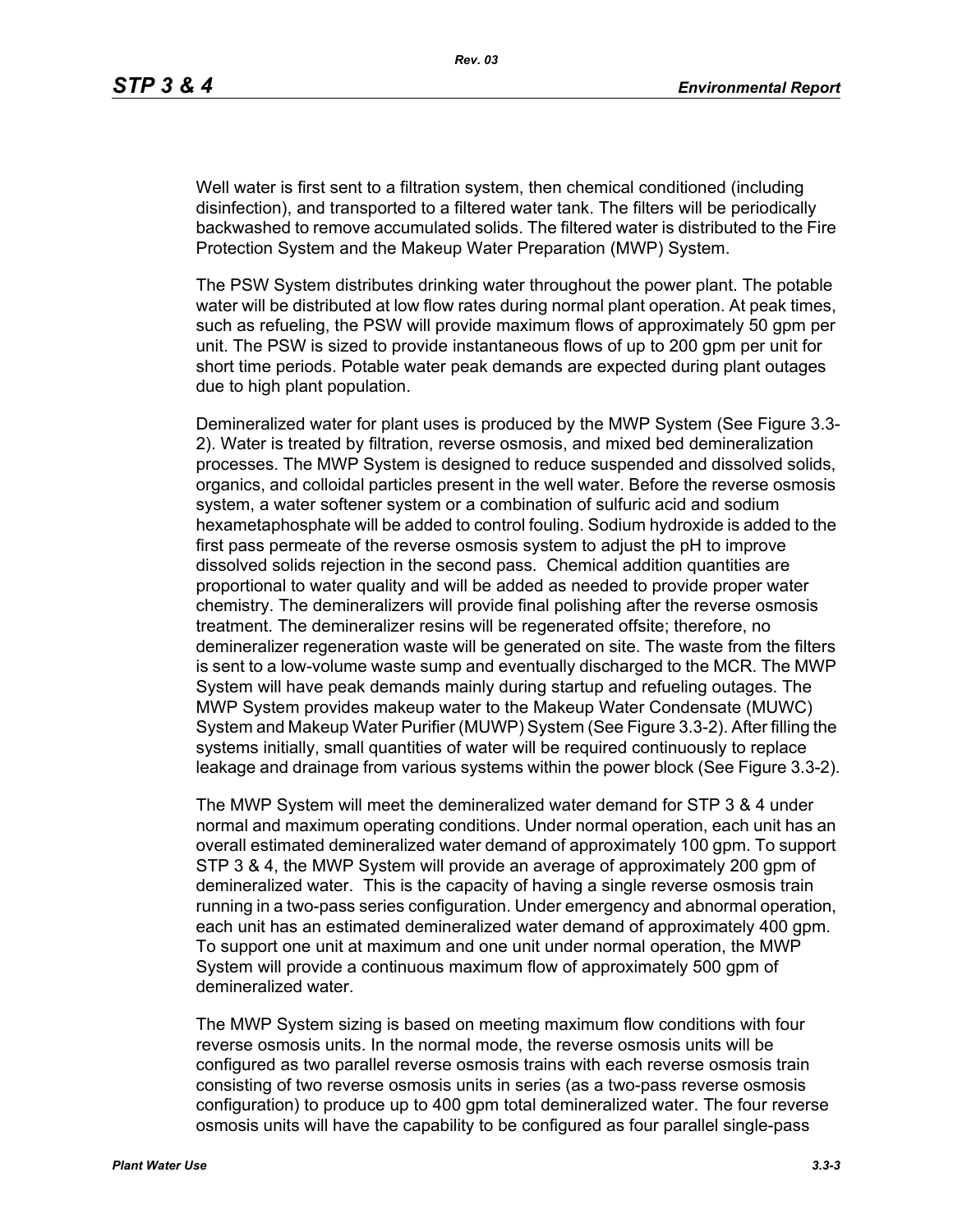Well water is first sent to a filtration system, then chemical conditioned (including disinfection), and transported to a filtered water tank. The filters will be periodically backwashed to remove accumulated solids. The filtered water is distributed to the Fire Protection System and the Makeup Water Preparation (MWP) System.

The PSW System distributes drinking water throughout the power plant. The potable water will be distributed at low flow rates during normal plant operation. At peak times, such as refueling, the PSW will provide maximum flows of approximately 50 gpm per unit. The PSW is sized to provide instantaneous flows of up to 200 gpm per unit for short time periods. Potable water peak demands are expected during plant outages due to high plant population.

Demineralized water for plant uses is produced by the MWP System (See Figure 3.3- 2). Water is treated by filtration, reverse osmosis, and mixed bed demineralization processes. The MWP System is designed to reduce suspended and dissolved solids, organics, and colloidal particles present in the well water. Before the reverse osmosis system, a water softener system or a combination of sulfuric acid and sodium hexametaphosphate will be added to control fouling. Sodium hydroxide is added to the first pass permeate of the reverse osmosis system to adjust the pH to improve dissolved solids rejection in the second pass. Chemical addition quantities are proportional to water quality and will be added as needed to provide proper water chemistry. The demineralizers will provide final polishing after the reverse osmosis treatment. The demineralizer resins will be regenerated offsite; therefore, no demineralizer regeneration waste will be generated on site. The waste from the filters is sent to a low-volume waste sump and eventually discharged to the MCR. The MWP System will have peak demands mainly during startup and refueling outages. The MWP System provides makeup water to the Makeup Water Condensate (MUWC) System and Makeup Water Purifier (MUWP) System (See Figure 3.3-2). After filling the systems initially, small quantities of water will be required continuously to replace leakage and drainage from various systems within the power block (See Figure 3.3-2).

The MWP System will meet the demineralized water demand for STP 3 & 4 under normal and maximum operating conditions. Under normal operation, each unit has an overall estimated demineralized water demand of approximately 100 gpm. To support STP 3 & 4, the MWP System will provide an average of approximately 200 gpm of demineralized water. This is the capacity of having a single reverse osmosis train running in a two-pass series configuration. Under emergency and abnormal operation, each unit has an estimated demineralized water demand of approximately 400 gpm. To support one unit at maximum and one unit under normal operation, the MWP System will provide a continuous maximum flow of approximately 500 gpm of demineralized water.

The MWP System sizing is based on meeting maximum flow conditions with four reverse osmosis units. In the normal mode, the reverse osmosis units will be configured as two parallel reverse osmosis trains with each reverse osmosis train consisting of two reverse osmosis units in series (as a two-pass reverse osmosis configuration) to produce up to 400 gpm total demineralized water. The four reverse osmosis units will have the capability to be configured as four parallel single-pass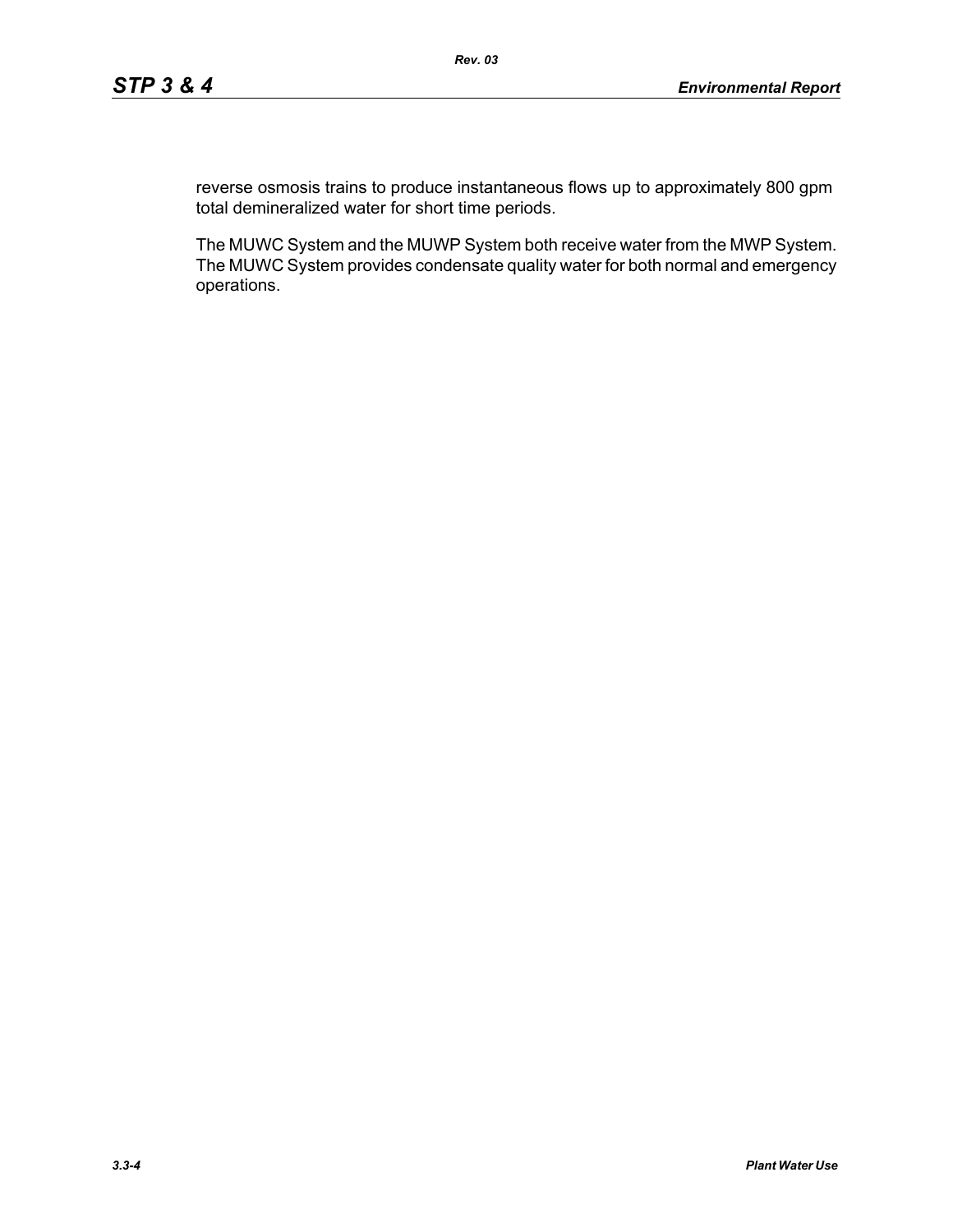reverse osmosis trains to produce instantaneous flows up to approximately 800 gpm total demineralized water for short time periods.

The MUWC System and the MUWP System both receive water from the MWP System. The MUWC System provides condensate quality water for both normal and emergency operations.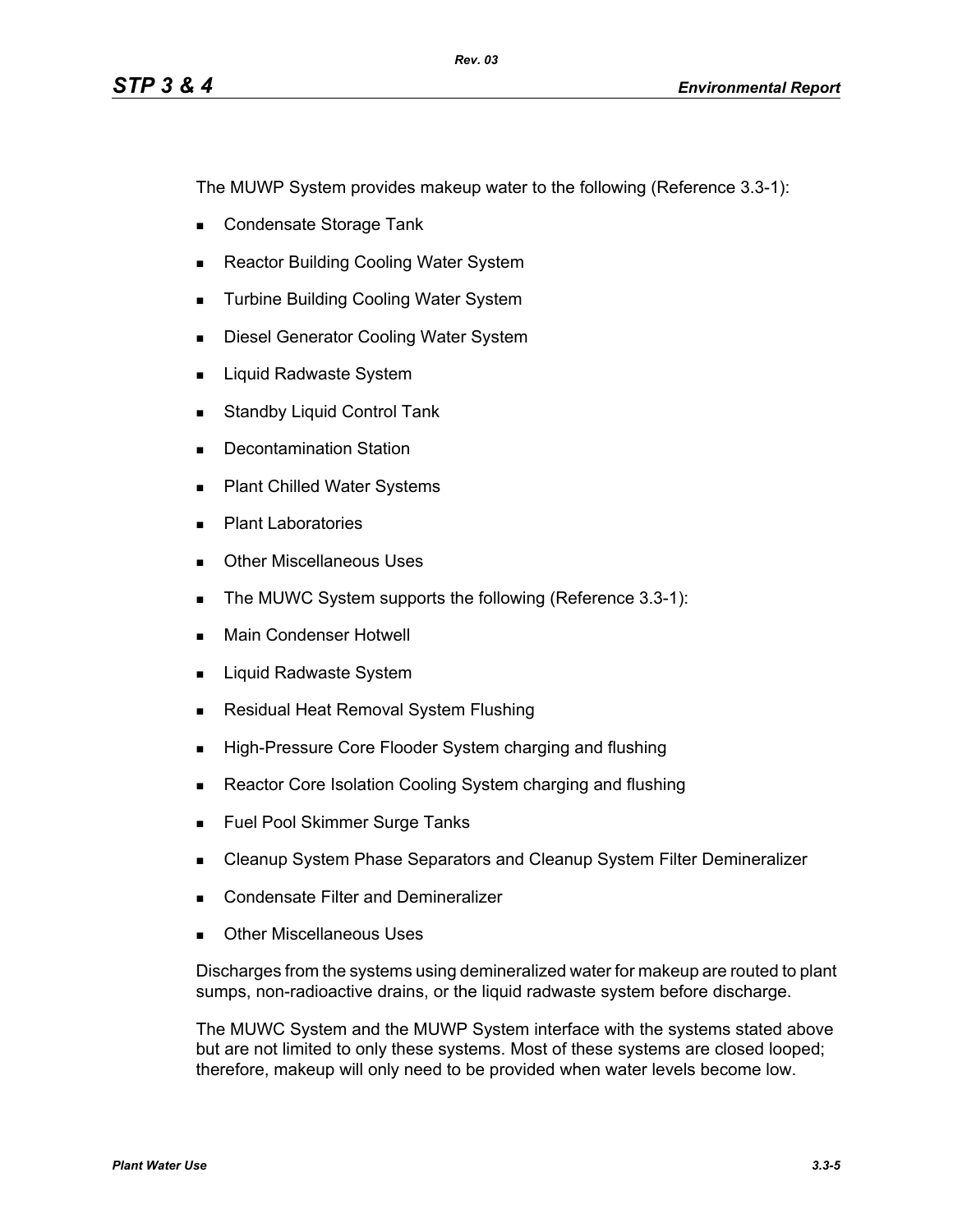The MUWP System provides makeup water to the following (Reference 3.3-1):

- Condensate Storage Tank
- Reactor Building Cooling Water System
- **Turbine Building Cooling Water System**
- **Diesel Generator Cooling Water System**
- **Liquid Radwaste System**
- **Standby Liquid Control Tank**
- Decontamination Station
- **Plant Chilled Water Systems**
- **Plant Laboratories**
- **Dubber Miscellaneous Uses**
- The MUWC System supports the following (Reference 3.3-1):
- **Main Condenser Hotwell**
- **Liquid Radwaste System**
- **Residual Heat Removal System Flushing**
- **High-Pressure Core Flooder System charging and flushing**
- Reactor Core Isolation Cooling System charging and flushing
- **Fuel Pool Skimmer Surge Tanks**
- **EXEC** Cleanup System Phase Separators and Cleanup System Filter Demineralizer
- **Condensate Filter and Demineralizer**
- Other Miscellaneous Uses

Discharges from the systems using demineralized water for makeup are routed to plant sumps, non-radioactive drains, or the liquid radwaste system before discharge.

The MUWC System and the MUWP System interface with the systems stated above but are not limited to only these systems. Most of these systems are closed looped; therefore, makeup will only need to be provided when water levels become low.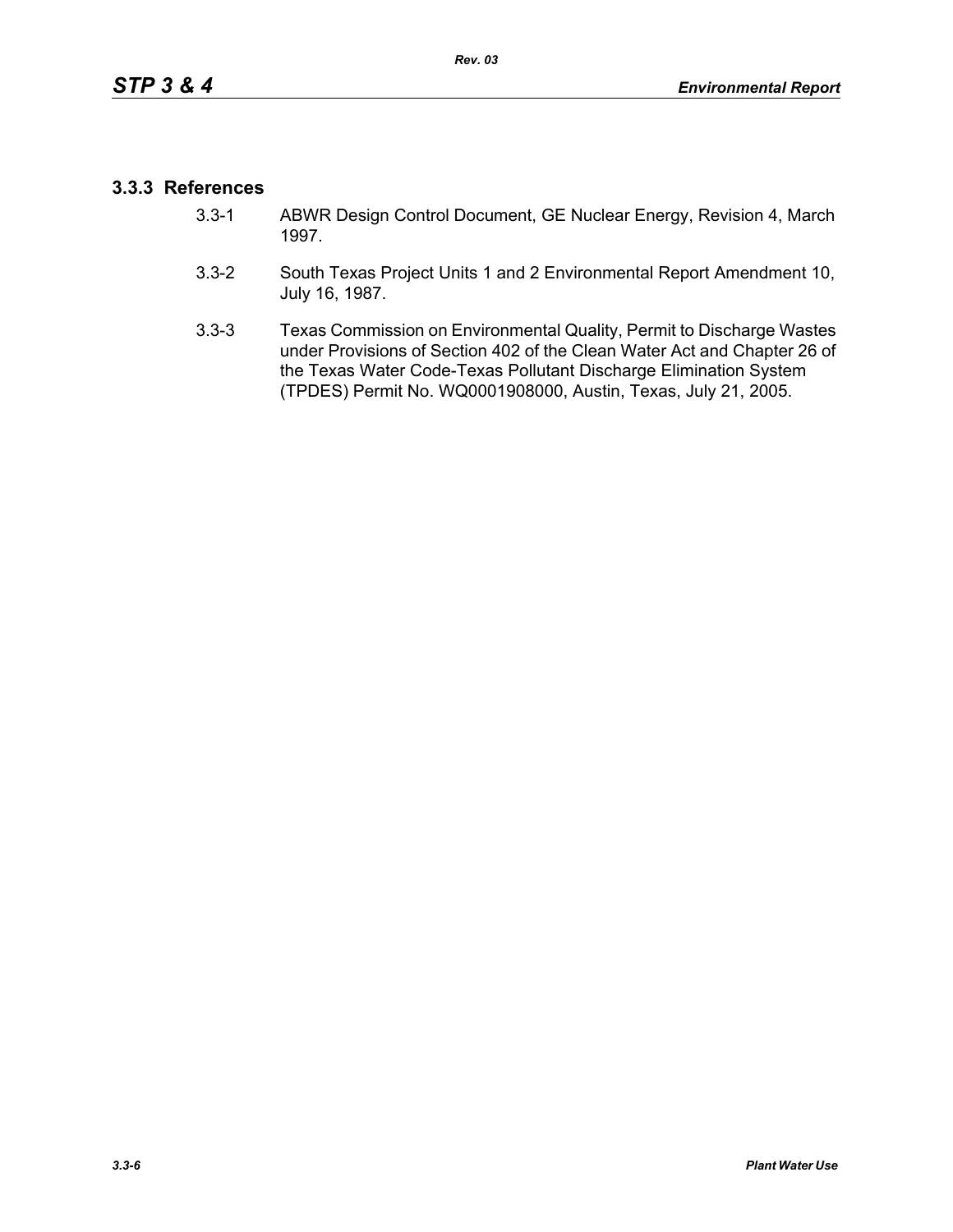## **3.3.3 References**

- 3.3-1 ABWR Design Control Document, GE Nuclear Energy, Revision 4, March 1997.
- 3.3-2 South Texas Project Units 1 and 2 Environmental Report Amendment 10, July 16, 1987.
- 3.3-3 Texas Commission on Environmental Quality, Permit to Discharge Wastes under Provisions of Section 402 of the Clean Water Act and Chapter 26 of the Texas Water Code-Texas Pollutant Discharge Elimination System (TPDES) Permit No. WQ0001908000, Austin, Texas, July 21, 2005.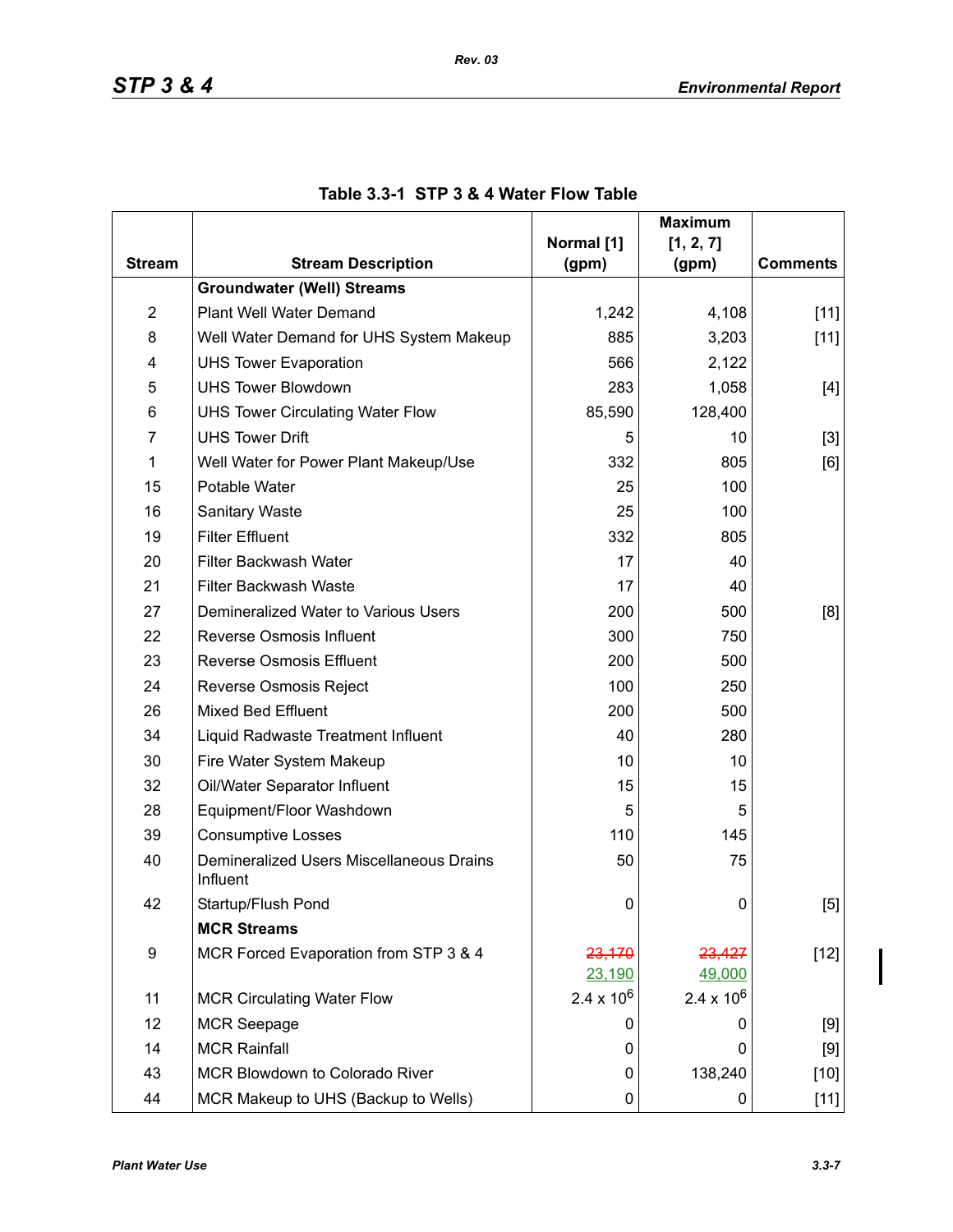|                |                                                      |                     | <b>Maximum</b>      |                 |
|----------------|------------------------------------------------------|---------------------|---------------------|-----------------|
| <b>Stream</b>  | <b>Stream Description</b>                            | Normal [1]<br>(gpm) | [1, 2, 7]<br>(gpm)  | <b>Comments</b> |
|                | <b>Groundwater (Well) Streams</b>                    |                     |                     |                 |
| $\overline{2}$ | Plant Well Water Demand                              | 1,242               | 4,108               | $[11]$          |
| 8              | Well Water Demand for UHS System Makeup              | 885                 | 3,203               | $[11]$          |
| 4              | <b>UHS Tower Evaporation</b>                         | 566                 | 2,122               |                 |
| 5              | <b>UHS Tower Blowdown</b>                            | 283                 | 1,058               | $[4]$           |
| 6              | <b>UHS Tower Circulating Water Flow</b>              | 85,590              | 128,400             |                 |
| $\overline{7}$ | <b>UHS Tower Drift</b>                               | 5                   | 10                  | $[3]$           |
| $\mathbf 1$    | Well Water for Power Plant Makeup/Use                | 332                 | 805                 | [6]             |
| 15             | Potable Water                                        | 25                  | 100                 |                 |
| 16             | <b>Sanitary Waste</b>                                | 25                  | 100                 |                 |
| 19             | <b>Filter Effluent</b>                               | 332                 | 805                 |                 |
| 20             | Filter Backwash Water                                | 17                  | 40                  |                 |
| 21             | <b>Filter Backwash Waste</b>                         | 17                  | 40                  |                 |
| 27             | Demineralized Water to Various Users                 | 200                 | 500                 | [8]             |
| 22             | <b>Reverse Osmosis Influent</b>                      | 300                 | 750                 |                 |
| 23             | <b>Reverse Osmosis Effluent</b>                      | 200                 | 500                 |                 |
| 24             | Reverse Osmosis Reject                               | 100                 | 250                 |                 |
| 26             | <b>Mixed Bed Effluent</b>                            | 200                 | 500                 |                 |
| 34             | Liquid Radwaste Treatment Influent                   | 40                  | 280                 |                 |
| 30             | Fire Water System Makeup                             | 10                  | 10                  |                 |
| 32             | Oil/Water Separator Influent                         | 15                  | 15                  |                 |
| 28             | Equipment/Floor Washdown                             | 5                   | 5                   |                 |
| 39             | <b>Consumptive Losses</b>                            | 110                 | 145                 |                 |
| 40             | Demineralized Users Miscellaneous Drains<br>Influent | 50                  | 75                  |                 |
| 42             | Startup/Flush Pond                                   | 0                   | 0                   | [5]             |
|                | <b>MCR Streams</b>                                   |                     |                     |                 |
| 9              | MCR Forced Evaporation from STP 3 & 4                | 23,170              | 23,427              | $[12]$          |
|                |                                                      | 23,190              | 49,000              |                 |
| 11             | <b>MCR Circulating Water Flow</b>                    | $2.4 \times 10^6$   | $2.4 \times 10^{6}$ |                 |
| 12             | <b>MCR Seepage</b>                                   | O                   | 0                   | [9]             |
| 14             | <b>MCR Rainfall</b>                                  | 0                   | 0                   | [9]             |
| 43             | MCR Blowdown to Colorado River                       | 0                   | 138,240             | $[10]$          |
| 44             | MCR Makeup to UHS (Backup to Wells)                  | 0                   | 0                   | $[11]$          |

|  | Table 3.3-1 STP 3 & 4 Water Flow Table |  |  |  |  |  |
|--|----------------------------------------|--|--|--|--|--|
|--|----------------------------------------|--|--|--|--|--|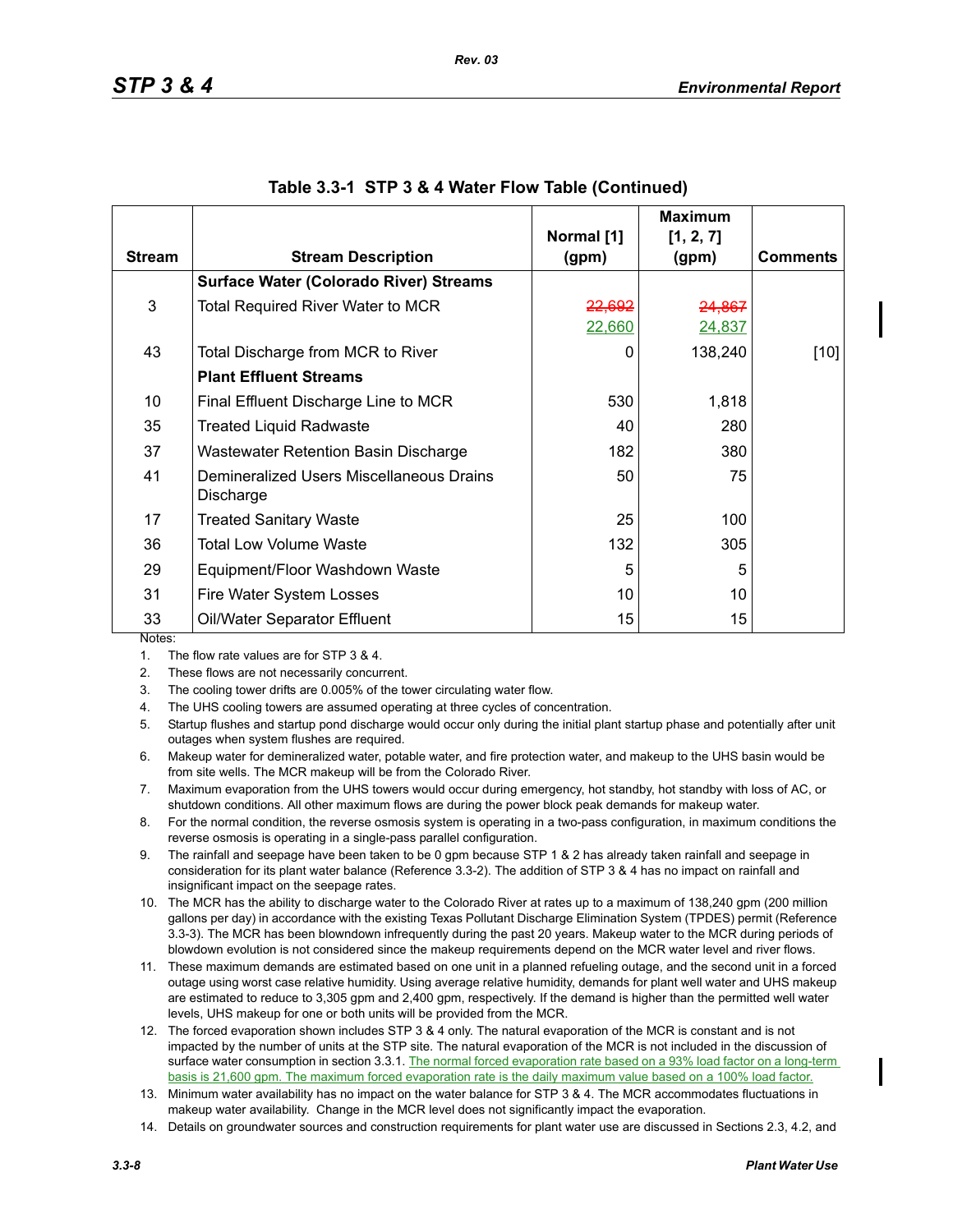|               |                                                       |                   | <b>Maximum</b> |                 |
|---------------|-------------------------------------------------------|-------------------|----------------|-----------------|
|               |                                                       | Normal [1]        | [1, 2, 7]      |                 |
| <b>Stream</b> | <b>Stream Description</b>                             | (gpm)             | (gpm)          | <b>Comments</b> |
|               | <b>Surface Water (Colorado River) Streams</b>         |                   |                |                 |
| 3             | <b>Total Required River Water to MCR</b>              | <del>22,692</del> | 24,867         |                 |
|               |                                                       | 22,660            | 24,837         |                 |
| 43            | Total Discharge from MCR to River                     | 0                 | 138,240        | $[10]$          |
|               | <b>Plant Effluent Streams</b>                         |                   |                |                 |
| 10            | Final Effluent Discharge Line to MCR                  | 530               | 1,818          |                 |
| 35            | <b>Treated Liquid Radwaste</b>                        | 40                | 280            |                 |
| 37            | Wastewater Retention Basin Discharge                  | 182               | 380            |                 |
| 41            | Demineralized Users Miscellaneous Drains<br>Discharge | 50                | 75             |                 |
| 17            | <b>Treated Sanitary Waste</b>                         | 25                | 100            |                 |
| 36            | <b>Total Low Volume Waste</b>                         | 132               | 305            |                 |
| 29            | Equipment/Floor Washdown Waste                        | 5                 | 5              |                 |
| 31            | Fire Water System Losses                              | 10                | 10             |                 |
| 33<br>Notos:  | Oil/Water Separator Effluent                          | 15                | 15             |                 |

| Table 3.3-1 STP 3 & 4 Water Flow Table (Continued) |  |  |  |  |
|----------------------------------------------------|--|--|--|--|
|----------------------------------------------------|--|--|--|--|

Notes:

1. The flow rate values are for STP 3 & 4.

2. These flows are not necessarily concurrent.

3. The cooling tower drifts are 0.005% of the tower circulating water flow.

4. The UHS cooling towers are assumed operating at three cycles of concentration.

5. Startup flushes and startup pond discharge would occur only during the initial plant startup phase and potentially after unit outages when system flushes are required.

6. Makeup water for demineralized water, potable water, and fire protection water, and makeup to the UHS basin would be from site wells. The MCR makeup will be from the Colorado River.

7. Maximum evaporation from the UHS towers would occur during emergency, hot standby, hot standby with loss of AC, or shutdown conditions. All other maximum flows are during the power block peak demands for makeup water.

8. For the normal condition, the reverse osmosis system is operating in a two-pass configuration, in maximum conditions the reverse osmosis is operating in a single-pass parallel configuration.

9. The rainfall and seepage have been taken to be 0 gpm because STP 1 & 2 has already taken rainfall and seepage in consideration for its plant water balance (Reference 3.3-2). The addition of STP 3 & 4 has no impact on rainfall and insignificant impact on the seepage rates.

10. The MCR has the ability to discharge water to the Colorado River at rates up to a maximum of 138,240 gpm (200 million gallons per day) in accordance with the existing Texas Pollutant Discharge Elimination System (TPDES) permit (Reference 3.3-3). The MCR has been blowndown infrequently during the past 20 years. Makeup water to the MCR during periods of blowdown evolution is not considered since the makeup requirements depend on the MCR water level and river flows.

11. These maximum demands are estimated based on one unit in a planned refueling outage, and the second unit in a forced outage using worst case relative humidity. Using average relative humidity, demands for plant well water and UHS makeup are estimated to reduce to 3,305 gpm and 2,400 gpm, respectively. If the demand is higher than the permitted well water levels, UHS makeup for one or both units will be provided from the MCR.

12. The forced evaporation shown includes STP 3 & 4 only. The natural evaporation of the MCR is constant and is not impacted by the number of units at the STP site. The natural evaporation of the MCR is not included in the discussion of surface water consumption in section 3.3.1. The normal forced evaporation rate based on a 93% load factor on a long-term basis is 21,600 gpm. The maximum forced evaporation rate is the daily maximum value based on a 100% load factor.

13. Minimum water availability has no impact on the water balance for STP 3 & 4. The MCR accommodates fluctuations in makeup water availability. Change in the MCR level does not significantly impact the evaporation.

14. Details on groundwater sources and construction requirements for plant water use are discussed in Sections 2.3, 4.2, and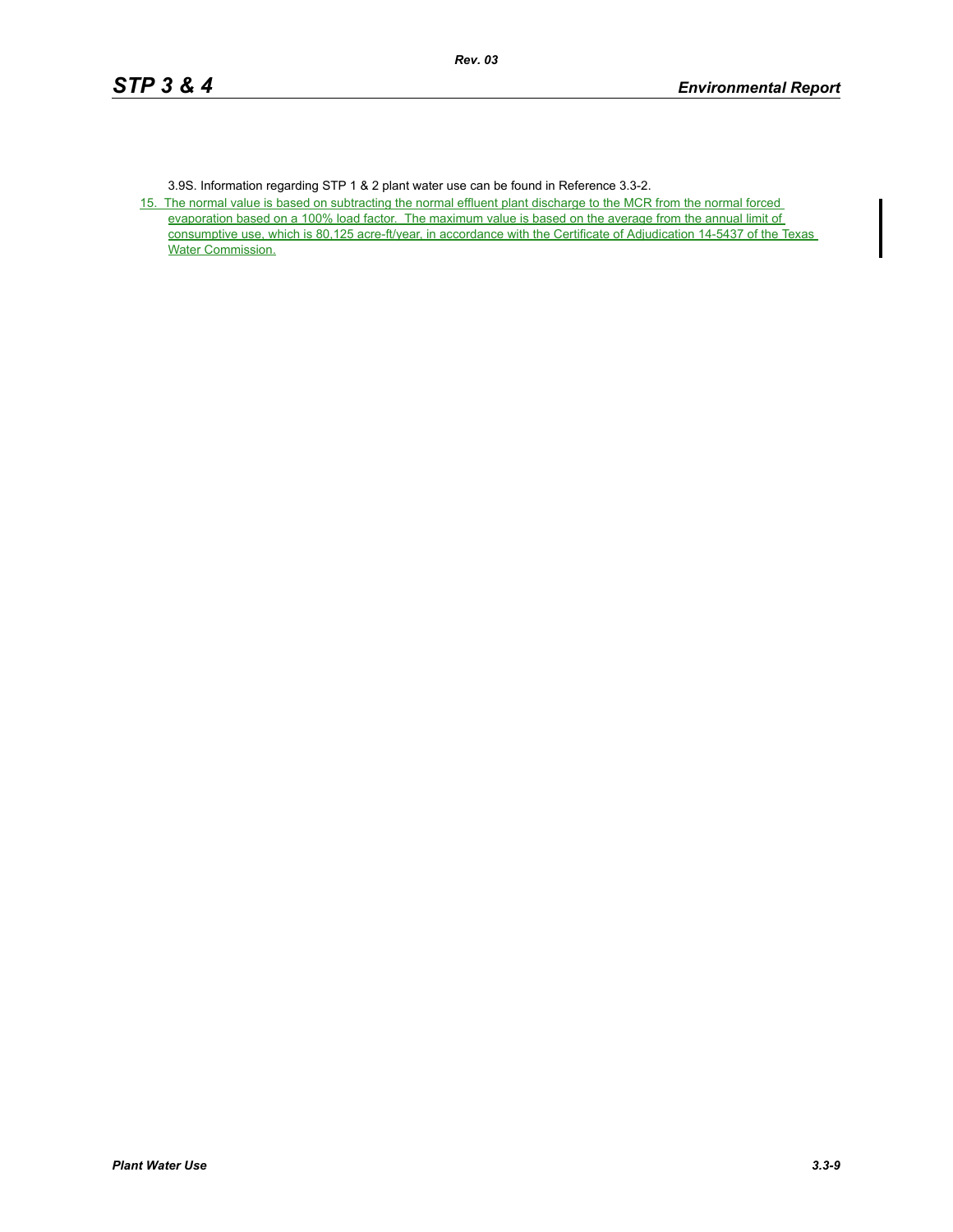3.9S. Information regarding STP 1 & 2 plant water use can be found in Reference 3.3-2.

15. The normal value is based on subtracting the normal effluent plant discharge to the MCR from the normal forced evaporation based on a 100% load factor. The maximum value is based on the average from the annual limit of consumptive use, which is 80,125 acre-ft/year, in accordance with the Certificate of Adjudication 14-5437 of the Texas Water Commission.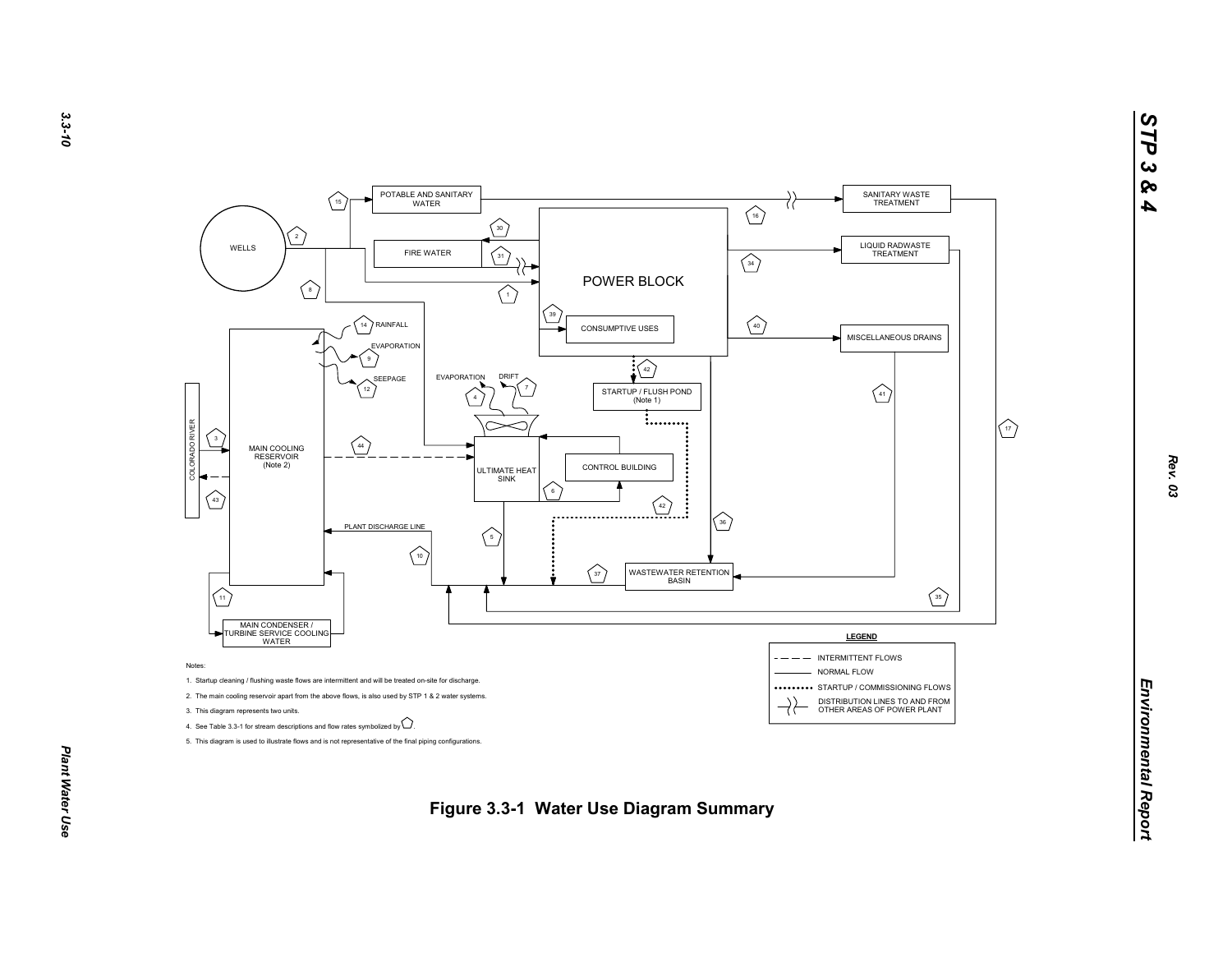